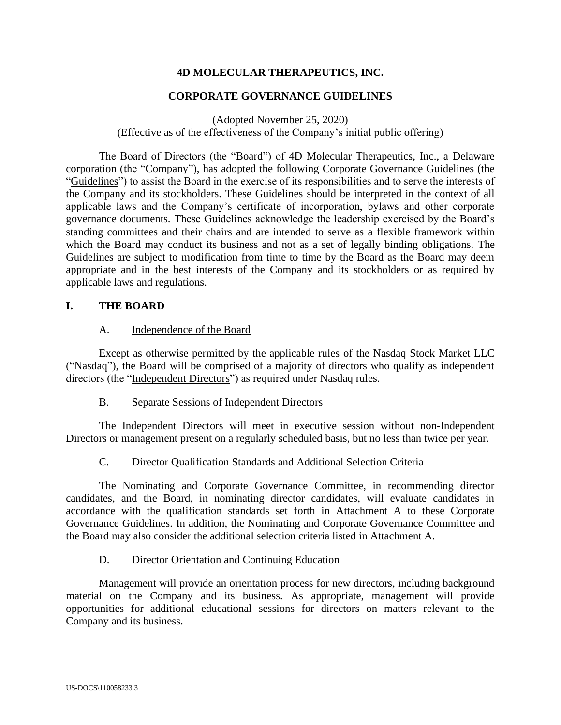# **4D MOLECULAR THERAPEUTICS, INC.**

#### **CORPORATE GOVERNANCE GUIDELINES**

(Adopted November 25, 2020)

(Effective as of the effectiveness of the Company's initial public offering)

The Board of Directors (the "Board") of 4D Molecular Therapeutics, Inc., a Delaware corporation (the "Company"), has adopted the following Corporate Governance Guidelines (the "Guidelines") to assist the Board in the exercise of its responsibilities and to serve the interests of the Company and its stockholders. These Guidelines should be interpreted in the context of all applicable laws and the Company's certificate of incorporation, bylaws and other corporate governance documents. These Guidelines acknowledge the leadership exercised by the Board's standing committees and their chairs and are intended to serve as a flexible framework within which the Board may conduct its business and not as a set of legally binding obligations. The Guidelines are subject to modification from time to time by the Board as the Board may deem appropriate and in the best interests of the Company and its stockholders or as required by applicable laws and regulations.

#### **I. THE BOARD**

#### A. Independence of the Board

Except as otherwise permitted by the applicable rules of the Nasdaq Stock Market LLC ("Nasdaq"), the Board will be comprised of a majority of directors who qualify as independent directors (the "Independent Directors") as required under Nasdaq rules.

#### B. Separate Sessions of Independent Directors

The Independent Directors will meet in executive session without non-Independent Directors or management present on a regularly scheduled basis, but no less than twice per year.

## C. Director Qualification Standards and Additional Selection Criteria

The Nominating and Corporate Governance Committee, in recommending director candidates, and the Board, in nominating director candidates, will evaluate candidates in accordance with the qualification standards set forth in Attachment A to these Corporate Governance Guidelines. In addition, the Nominating and Corporate Governance Committee and the Board may also consider the additional selection criteria listed in Attachment A.

#### D. Director Orientation and Continuing Education

Management will provide an orientation process for new directors, including background material on the Company and its business. As appropriate, management will provide opportunities for additional educational sessions for directors on matters relevant to the Company and its business.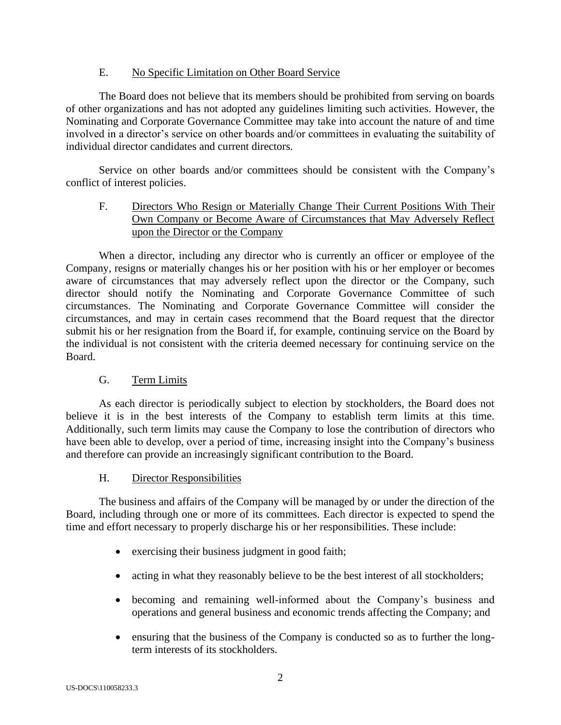## E. No Specific Limitation on Other Board Service

The Board does not believe that its members should be prohibited from serving on boards of other organizations and has not adopted any guidelines limiting such activities. However, the Nominating and Corporate Governance Committee may take into account the nature of and time involved in a director's service on other boards and/or committees in evaluating the suitability of individual director candidates and current directors.

Service on other boards and/or committees should be consistent with the Company's conflict of interest policies.

# F. Directors Who Resign or Materially Change Their Current Positions With Their Own Company or Become Aware of Circumstances that May Adversely Reflect upon the Director or the Company

When a director, including any director who is currently an officer or employee of the Company, resigns or materially changes his or her position with his or her employer or becomes aware of circumstances that may adversely reflect upon the director or the Company, such director should notify the Nominating and Corporate Governance Committee of such circumstances. The Nominating and Corporate Governance Committee will consider the circumstances, and may in certain cases recommend that the Board request that the director submit his or her resignation from the Board if, for example, continuing service on the Board by the individual is not consistent with the criteria deemed necessary for continuing service on the Board.

# G. Term Limits

As each director is periodically subject to election by stockholders, the Board does not believe it is in the best interests of the Company to establish term limits at this time. Additionally, such term limits may cause the Company to lose the contribution of directors who have been able to develop, over a period of time, increasing insight into the Company's business and therefore can provide an increasingly significant contribution to the Board.

# H. Director Responsibilities

The business and affairs of the Company will be managed by or under the direction of the Board, including through one or more of its committees. Each director is expected to spend the time and effort necessary to properly discharge his or her responsibilities. These include:

- exercising their business judgment in good faith;
- acting in what they reasonably believe to be the best interest of all stockholders;
- becoming and remaining well-informed about the Company's business and operations and general business and economic trends affecting the Company; and
- ensuring that the business of the Company is conducted so as to further the longterm interests of its stockholders.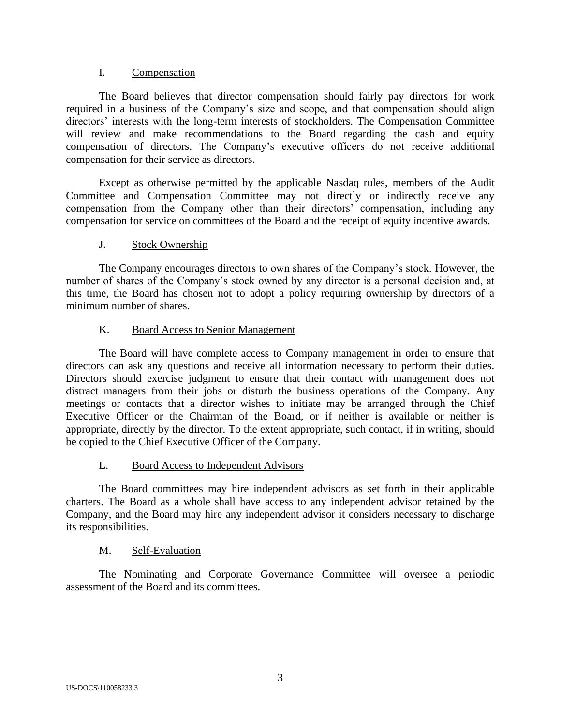## I. Compensation

The Board believes that director compensation should fairly pay directors for work required in a business of the Company's size and scope, and that compensation should align directors' interests with the long-term interests of stockholders. The Compensation Committee will review and make recommendations to the Board regarding the cash and equity compensation of directors. The Company's executive officers do not receive additional compensation for their service as directors.

Except as otherwise permitted by the applicable Nasdaq rules, members of the Audit Committee and Compensation Committee may not directly or indirectly receive any compensation from the Company other than their directors' compensation, including any compensation for service on committees of the Board and the receipt of equity incentive awards.

## J. Stock Ownership

The Company encourages directors to own shares of the Company's stock. However, the number of shares of the Company's stock owned by any director is a personal decision and, at this time, the Board has chosen not to adopt a policy requiring ownership by directors of a minimum number of shares.

## K. Board Access to Senior Management

The Board will have complete access to Company management in order to ensure that directors can ask any questions and receive all information necessary to perform their duties. Directors should exercise judgment to ensure that their contact with management does not distract managers from their jobs or disturb the business operations of the Company. Any meetings or contacts that a director wishes to initiate may be arranged through the Chief Executive Officer or the Chairman of the Board, or if neither is available or neither is appropriate, directly by the director. To the extent appropriate, such contact, if in writing, should be copied to the Chief Executive Officer of the Company.

## L. Board Access to Independent Advisors

The Board committees may hire independent advisors as set forth in their applicable charters. The Board as a whole shall have access to any independent advisor retained by the Company, and the Board may hire any independent advisor it considers necessary to discharge its responsibilities.

# M. Self-Evaluation

The Nominating and Corporate Governance Committee will oversee a periodic assessment of the Board and its committees.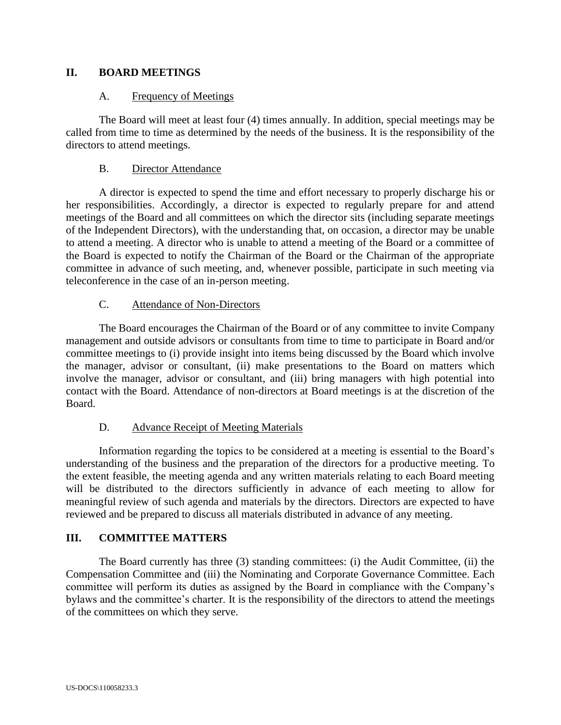## **II. BOARD MEETINGS**

### A. Frequency of Meetings

The Board will meet at least four (4) times annually. In addition, special meetings may be called from time to time as determined by the needs of the business. It is the responsibility of the directors to attend meetings.

## B. Director Attendance

A director is expected to spend the time and effort necessary to properly discharge his or her responsibilities. Accordingly, a director is expected to regularly prepare for and attend meetings of the Board and all committees on which the director sits (including separate meetings of the Independent Directors), with the understanding that, on occasion, a director may be unable to attend a meeting. A director who is unable to attend a meeting of the Board or a committee of the Board is expected to notify the Chairman of the Board or the Chairman of the appropriate committee in advance of such meeting, and, whenever possible, participate in such meeting via teleconference in the case of an in-person meeting.

## C. Attendance of Non-Directors

The Board encourages the Chairman of the Board or of any committee to invite Company management and outside advisors or consultants from time to time to participate in Board and/or committee meetings to (i) provide insight into items being discussed by the Board which involve the manager, advisor or consultant, (ii) make presentations to the Board on matters which involve the manager, advisor or consultant, and (iii) bring managers with high potential into contact with the Board. Attendance of non-directors at Board meetings is at the discretion of the Board.

## D. Advance Receipt of Meeting Materials

Information regarding the topics to be considered at a meeting is essential to the Board's understanding of the business and the preparation of the directors for a productive meeting. To the extent feasible, the meeting agenda and any written materials relating to each Board meeting will be distributed to the directors sufficiently in advance of each meeting to allow for meaningful review of such agenda and materials by the directors. Directors are expected to have reviewed and be prepared to discuss all materials distributed in advance of any meeting.

## **III. COMMITTEE MATTERS**

The Board currently has three (3) standing committees: (i) the Audit Committee, (ii) the Compensation Committee and (iii) the Nominating and Corporate Governance Committee. Each committee will perform its duties as assigned by the Board in compliance with the Company's bylaws and the committee's charter. It is the responsibility of the directors to attend the meetings of the committees on which they serve.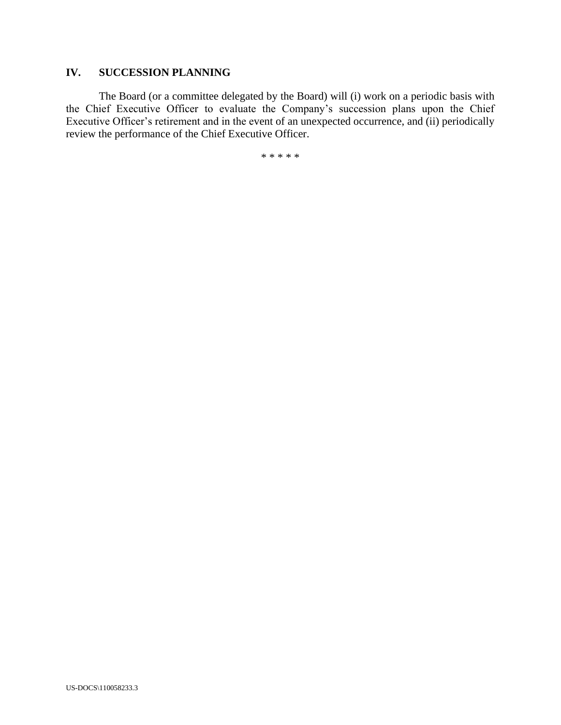# **IV. SUCCESSION PLANNING**

The Board (or a committee delegated by the Board) will (i) work on a periodic basis with the Chief Executive Officer to evaluate the Company's succession plans upon the Chief Executive Officer's retirement and in the event of an unexpected occurrence, and (ii) periodically review the performance of the Chief Executive Officer.

\* \* \* \* \*